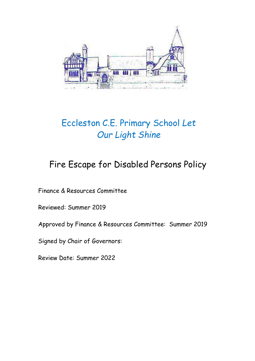

# Eccleston C.E. Primary School *Let Our Light Shine*

# Fire Escape for Disabled Persons Policy

Finance & Resources Committee

Reviewed: Summer 2019

Approved by Finance & Resources Committee: Summer 2019

Signed by Chair of Governors:

Review Date: Summer 2022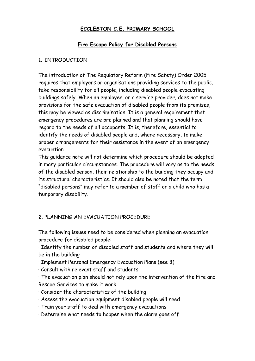#### **ECCLESTON C.E. PRIMARY SCHOOL**

#### **Fire Escape Policy for Disabled Persons**

#### 1. INTRODUCTION

The introduction of The Regulatory Reform (Fire Safety) Order 2005 requires that employers or organisations providing services to the public, take responsibility for all people, including disabled people evacuating buildings safely. When an employer, or a service provider, does not make provisions for the safe evacuation of disabled people from its premises, this may be viewed as discrimination. It is a general requirement that emergency procedures are pre planned and that planning should have regard to the needs of all occupants. It is, therefore, essential to identify the needs of disabled people and, where necessary, to make proper arrangements for their assistance in the event of an emergency evacuation.

This guidance note will not determine which procedure should be adopted in many particular circumstances. The procedure will vary as to the needs of the disabled person, their relationship to the building they occupy and its structural characteristics. It should also be noted that the term "disabled persons" may refer to a member of staff or a child who has a temporary disability.

## 2. PLANNING AN EVACUATION PROCEDURE

The following issues need to be considered when planning an evacuation procedure for disabled people:

· Identify the number of disabled staff and students and where they will be in the building

· Implement Personal Emergency Evacuation Plans (see 3)

· Consult with relevant staff and students

· The evacuation plan should not rely upon the intervention of the Fire and Rescue Services to make it work.

- · Consider the characteristics of the building
- · Assess the evacuation equipment disabled people will need
- · Train your staff to deal with emergency evacuations
- · Determine what needs to happen when the alarm goes off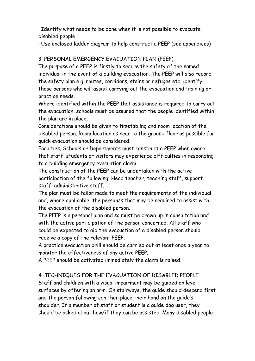· Identify what needs to be done when it is not possible to evacuate disabled people

· Use enclosed ladder diagram to help construct a PEEP (see appendices)

#### 3. PERSONAL EMERGENCY EVACUATION PLAN (PEEP)

The purpose of a PEEP is firstly to secure the safety of the named individual in the event of a building evacuation. The PEEP will also record the safety plan e.g. routes, corridors, stairs or refuges etc, identify those persons who will assist carrying out the evacuation and training or practice needs.

Where identified within the PEEP that assistance is required to carry out the evacuation, schools must be assured that the people identified within the plan are in place.

Considerations should be given to timetabling and room location of the disabled person. Room location as near to the ground floor as possible for quick evacuation should be considered.

Faculties, Schools or Departments must construct a PEEP when aware that staff, students or visitors may experience difficulties in responding to a building emergency evacuation alarm.

The construction of the PEEP can be undertaken with the active participation of the following: Head teacher, teaching staff, support staff, administrative staff.

The plan must be tailor made to meet the requirements of the individual and, where applicable, the person/s that may be required to assist with the evacuation of the disabled person.

The PEEP is a personal plan and so must be drawn up in consultation and with the active participation of the person concerned. All staff who could be expected to aid the evacuation of a disabled person should receive a copy of the relevant PEEP.

A practice evacuation drill should be carried out at least once a year to monitor the effectiveness of any active PEEP.

A PEEP should be activated immediately the alarm is raised.

## 4. TECHNIQUES FOR THE EVACUATION OF DISABLED PEOPLE

Staff and children with a visual impairment may be guided on level surfaces by offering an arm. On stairways, the guide should descend first and the person following can then place their hand on the guide's shoulder. If a member of staff or student is a guide dog user, they should be asked about how/if they can be assisted. Many disabled people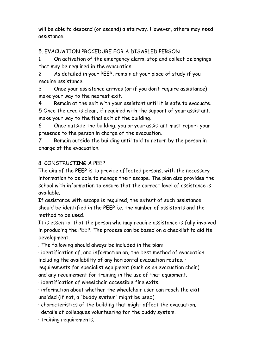will be able to descend (or ascend) a stairway. However, others may need assistance.

### 5. EVACUATION PROCEDURE FOR A DISABLED PERSON

1 On activation of the emergency alarm, stop and collect belongings that may be required in the evacuation.

2 As detailed in your PEEP, remain at your place of study if you require assistance.

3 Once your assistance arrives (or if you don't require assistance) make your way to the nearest exit.

4 Remain at the exit with your assistant until it is safe to evacuate. 5 Once the area is clear, if required with the support of your assistant, make your way to the final exit of the building.

6 Once outside the building, you or your assistant must report your presence to the person in charge of the evacuation.

7 Remain outside the building until told to return by the person in charge of the evacuation.

#### 8. CONSTRUCTING A PEEP

The aim of the PEEP is to provide affected persons, with the necessary information to be able to manage their escape. The plan also provides the school with information to ensure that the correct level of assistance is available.

If assistance with escape is required, the extent of such assistance should be identified in the PEEP i.e. the number of assistants and the method to be used.

It is essential that the person who may require assistance is fully involved in producing the PEEP. The process can be based on a checklist to aid its development.

. The following should always be included in the plan:

· identification of, and information on, the best method of evacuation including the availability of any horizontal evacuation routes. ·

requirements for specialist equipment (such as an evacuation chair) and any requirement for training in the use of that equipment.

· identification of wheelchair accessible fire exits.

· information about whether the wheelchair user can reach the exit unaided (if not, a "buddy system" might be used).

· characteristics of the building that might affect the evacuation.

· details of colleagues volunteering for the buddy system.

· training requirements.